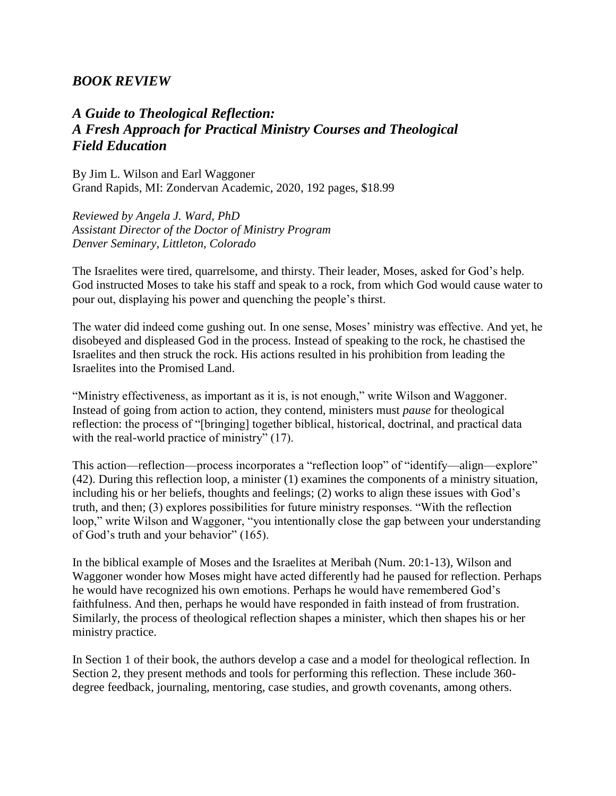## *BOOK REVIEW*

## *A Guide to Theological Reflection: A Fresh Approach for Practical Ministry Courses and Theological Field Education*

By Jim L. Wilson and Earl Waggoner Grand Rapids, MI: Zondervan Academic, 2020, 192 pages, \$18.99

*Reviewed by Angela J. Ward, PhD Assistant Director of the Doctor of Ministry Program Denver Seminary, Littleton, Colorado*

The Israelites were tired, quarrelsome, and thirsty. Their leader, Moses, asked for God's help. God instructed Moses to take his staff and speak to a rock, from which God would cause water to pour out, displaying his power and quenching the people's thirst.

The water did indeed come gushing out. In one sense, Moses' ministry was effective. And yet, he disobeyed and displeased God in the process. Instead of speaking to the rock, he chastised the Israelites and then struck the rock. His actions resulted in his prohibition from leading the Israelites into the Promised Land.

"Ministry effectiveness, as important as it is, is not enough," write Wilson and Waggoner. Instead of going from action to action, they contend, ministers must *pause* for theological reflection: the process of "[bringing] together biblical, historical, doctrinal, and practical data with the real-world practice of ministry" (17).

This action—reflection—process incorporates a "reflection loop" of "identify—align—explore" (42). During this reflection loop, a minister (1) examines the components of a ministry situation, including his or her beliefs, thoughts and feelings; (2) works to align these issues with God's truth, and then; (3) explores possibilities for future ministry responses. "With the reflection loop," write Wilson and Waggoner, "you intentionally close the gap between your understanding of God's truth and your behavior" (165).

In the biblical example of Moses and the Israelites at Meribah (Num. 20:1-13), Wilson and Waggoner wonder how Moses might have acted differently had he paused for reflection. Perhaps he would have recognized his own emotions. Perhaps he would have remembered God's faithfulness. And then, perhaps he would have responded in faith instead of from frustration. Similarly, the process of theological reflection shapes a minister, which then shapes his or her ministry practice.

In Section 1 of their book, the authors develop a case and a model for theological reflection. In Section 2, they present methods and tools for performing this reflection. These include 360 degree feedback, journaling, mentoring, case studies, and growth covenants, among others.